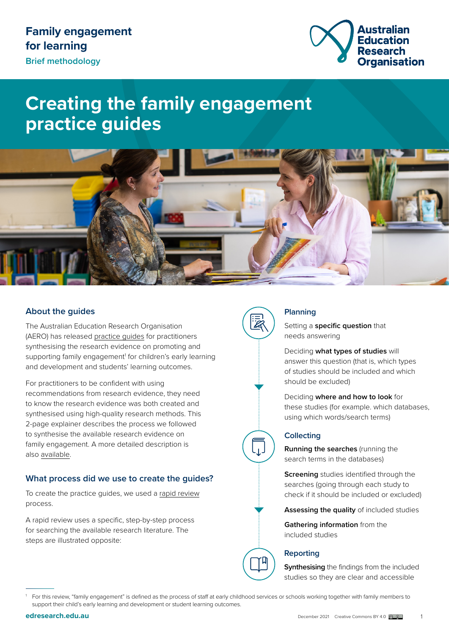

# **Creating the family engagement practice guides**



## **About the guides**

The Australian Education Research Organisation (AERO) has released [practice guides](https://www.edresearch.edu.au/resources/family-engagement-learning-collection) for practitioners synthesising the research evidence on promoting and supporting family engagement<sup>1</sup> for children's early learning and development and students' learning outcomes.

For practitioners to be confident with using recommendations from research evidence, they need to know the research evidence was both created and synthesised using high-quality research methods. This 2-page explainer describes the process we followed to synthesise the available research evidence on family engagement. A more detailed description is also [available](https://www.edresearch.edu.au/creating-family-engagement-practice-guides-detailed-methodology).

## **What process did we use to create the guides?**

To create the practice guides, we used a [rapid review](https://www.edresearch.edu.au/about-evidence/key-concepts-explained#accordion-1588) process.

A rapid review uses a specific, step-by-step process for searching the available research literature. The steps are illustrated opposite:



## **Planning**

Setting a **specific question** that needs answering

Deciding **what types of studies** will answer this question (that is, which types of studies should be included and which should be excluded)

Deciding **where and how to look** for these studies (for example. which databases, using which words/search terms)

#### **Collecting**

**Running the searches** (running the search terms in the databases)

**Screening** studies identified through the searches (going through each study to check if it should be included or excluded)

**Assessing the quality** of included studies

**Gathering information** from the included studies

## **Reporting**

**Synthesising** the findings from the included studies so they are clear and accessible

<sup>1</sup> For this review, "family engagement" is defined as the process of staff at early childhood services or schools working together with family members to support their child's early learning and development or student learning outcomes.